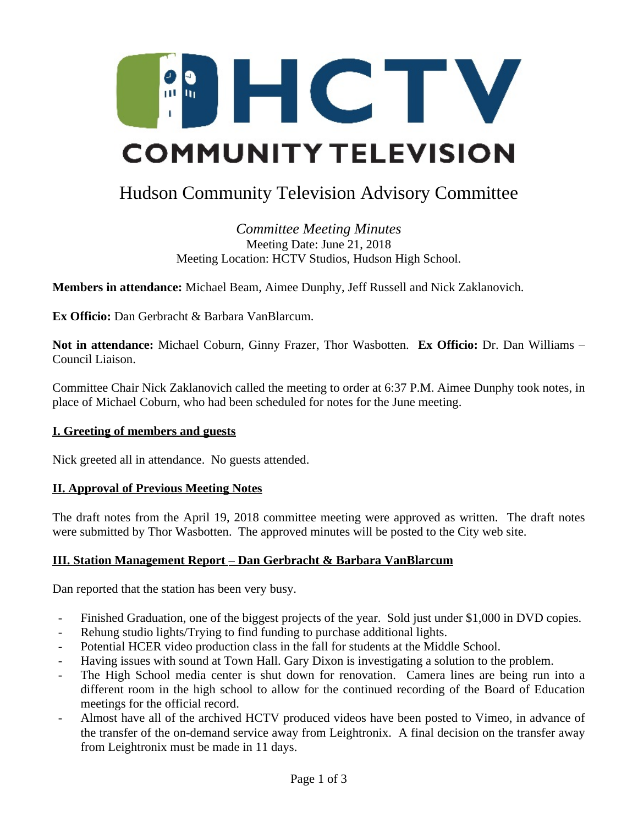

# Hudson Community Television Advisory Committee

*Committee Meeting Minutes* Meeting Date: June 21, 2018 Meeting Location: HCTV Studios, Hudson High School.

**Members in attendance:** Michael Beam, Aimee Dunphy, Jeff Russell and Nick Zaklanovich.

**Ex Officio:** Dan Gerbracht & Barbara VanBlarcum.

**Not in attendance:** Michael Coburn, Ginny Frazer, Thor Wasbotten. **Ex Officio:** Dr. Dan Williams – Council Liaison.

Committee Chair Nick Zaklanovich called the meeting to order at 6:37 P.M. Aimee Dunphy took notes, in place of Michael Coburn, who had been scheduled for notes for the June meeting.

## **I. Greeting of members and guests**

Nick greeted all in attendance. No guests attended.

## **II. Approval of Previous Meeting Notes**

The draft notes from the April 19, 2018 committee meeting were approved as written. The draft notes were submitted by Thor Wasbotten. The approved minutes will be posted to the City web site.

## **III. Station Management Report – Dan Gerbracht & Barbara VanBlarcum**

Dan reported that the station has been very busy.

- Finished Graduation, one of the biggest projects of the year. Sold just under \$1,000 in DVD copies.
- Rehung studio lights/Trying to find funding to purchase additional lights.
- Potential HCER video production class in the fall for students at the Middle School.
- Having issues with sound at Town Hall. Gary Dixon is investigating a solution to the problem.
- The High School media center is shut down for renovation. Camera lines are being run into a different room in the high school to allow for the continued recording of the Board of Education meetings for the official record.
- Almost have all of the archived HCTV produced videos have been posted to Vimeo, in advance of the transfer of the on-demand service away from Leightronix. A final decision on the transfer away from Leightronix must be made in 11 days.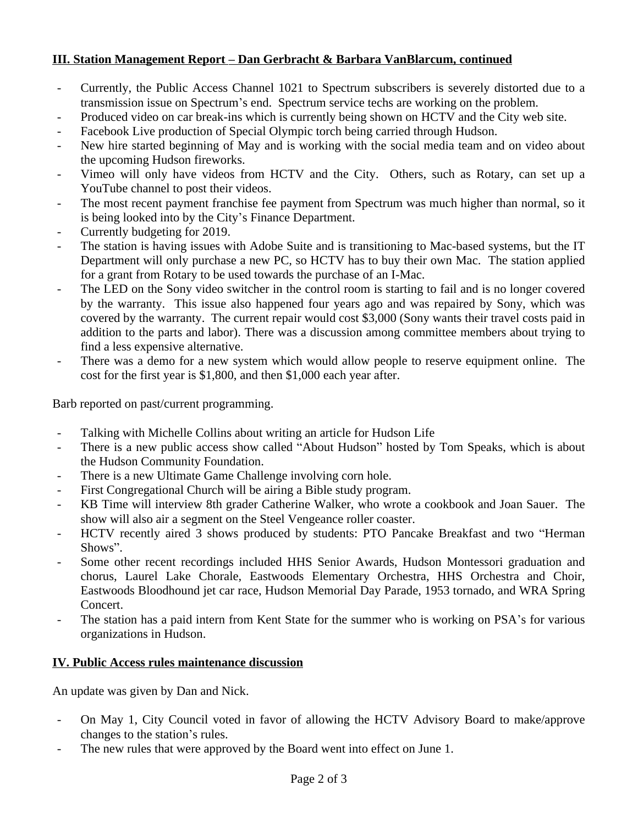## **III. Station Management Report – Dan Gerbracht & Barbara VanBlarcum, continued**

- Currently, the Public Access Channel 1021 to Spectrum subscribers is severely distorted due to a transmission issue on Spectrum's end. Spectrum service techs are working on the problem.
- Produced video on car break-ins which is currently being shown on HCTV and the City web site.
- Facebook Live production of Special Olympic torch being carried through Hudson.
- New hire started beginning of May and is working with the social media team and on video about the upcoming Hudson fireworks.
- Vimeo will only have videos from HCTV and the City. Others, such as Rotary, can set up a YouTube channel to post their videos.
- The most recent payment franchise fee payment from Spectrum was much higher than normal, so it is being looked into by the City's Finance Department.
- Currently budgeting for 2019.
- The station is having issues with Adobe Suite and is transitioning to Mac-based systems, but the IT Department will only purchase a new PC, so HCTV has to buy their own Mac. The station applied for a grant from Rotary to be used towards the purchase of an I-Mac.
- The LED on the Sony video switcher in the control room is starting to fail and is no longer covered by the warranty. This issue also happened four years ago and was repaired by Sony, which was covered by the warranty. The current repair would cost \$3,000 (Sony wants their travel costs paid in addition to the parts and labor). There was a discussion among committee members about trying to find a less expensive alternative.
- There was a demo for a new system which would allow people to reserve equipment online. The cost for the first year is \$1,800, and then \$1,000 each year after.

Barb reported on past/current programming.

- Talking with Michelle Collins about writing an article for Hudson Life
- There is a new public access show called "About Hudson" hosted by Tom Speaks, which is about the Hudson Community Foundation.
- There is a new Ultimate Game Challenge involving corn hole.
- First Congregational Church will be airing a Bible study program.
- KB Time will interview 8th grader Catherine Walker, who wrote a cookbook and Joan Sauer. The show will also air a segment on the Steel Vengeance roller coaster.
- HCTV recently aired 3 shows produced by students: PTO Pancake Breakfast and two "Herman Shows".
- Some other recent recordings included HHS Senior Awards, Hudson Montessori graduation and chorus, Laurel Lake Chorale, Eastwoods Elementary Orchestra, HHS Orchestra and Choir, Eastwoods Bloodhound jet car race, Hudson Memorial Day Parade, 1953 tornado, and WRA Spring Concert.
- The station has a paid intern from Kent State for the summer who is working on PSA's for various organizations in Hudson.

## **IV. Public Access rules maintenance discussion**

An update was given by Dan and Nick.

- On May 1, City Council voted in favor of allowing the HCTV Advisory Board to make/approve changes to the station's rules.
- The new rules that were approved by the Board went into effect on June 1.